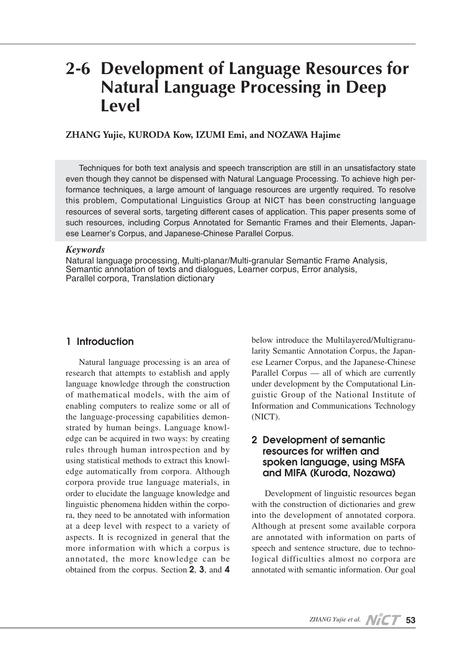# **2-6 Development of Language Resources for Natural Language Processing in Deep Level**

#### **ZHANG Yujie, KURODA Kow, IZUMI Emi, and NOZAWA Hajime**

Techniques for both text analysis and speech transcription are still in an unsatisfactory state even though they cannot be dispensed with Natural Language Processing. To achieve high performance techniques, a large amount of language resources are urgently required. To resolve this problem, Computational Linguistics Group at NICT has been constructing language resources of several sorts, targeting different cases of application. This paper presents some of such resources, including Corpus Annotated for Semantic Frames and their Elements, Japanese Learner's Corpus, and Japanese-Chinese Parallel Corpus.

#### *Keywords*

Natural language processing, Multi-planar/Multi-granular Semantic Frame Analysis, Semantic annotation of texts and dialogues, Learner corpus, Error analysis, Parallel corpora, Translation dictionary

#### **1 Introduction**

Natural language processing is an area of research that attempts to establish and apply language knowledge through the construction of mathematical models, with the aim of enabling computers to realize some or all of the language-processing capabilities demonstrated by human beings. Language knowledge can be acquired in two ways: by creating rules through human introspection and by using statistical methods to extract this knowledge automatically from corpora. Although corpora provide true language materials, in order to elucidate the language knowledge and linguistic phenomena hidden within the corpora, they need to be annotated with information at a deep level with respect to a variety of aspects. It is recognized in general that the more information with which a corpus is annotated, the more knowledge can be obtained from the corpus. Section **2**, **3**, and **4**

below introduce the Multilayered/Multigranularity Semantic Annotation Corpus, the Japanese Learner Corpus, and the Japanese-Chinese Parallel Corpus — all of which are currently under development by the Computational Linguistic Group of the National Institute of Information and Communications Technology (NICT).

### **2 Development of semantic resources for written and spoken language, using MSFA and MIFA (Kuroda, Nozawa)**

Development of linguistic resources began with the construction of dictionaries and grew into the development of annotated corpora. Although at present some available corpora are annotated with information on parts of speech and sentence structure, due to technological difficulties almost no corpora are annotated with semantic information. Our goal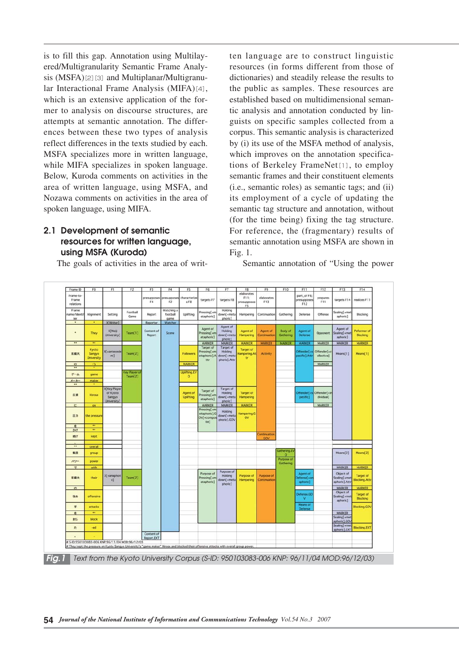is to fill this gap. Annotation using Multilayered/Multigranularity Semantic Frame Analysis  $(MSFA)[2][3]$  and Multiplanar/Multigranular Interactional Frame Analysis (MIFA)[4], which is an extensive application of the former to analysis on discourse structures, are attempts at semantic annotation. The differences between these two types of analysis reflect differences in the texts studied by each. MSFA specializes more in written language, while MIFA specializes in spoken language. Below, Kuroda comments on activities in the area of written language, using MSFA, and Nozawa comments on activities in the area of spoken language, using MIFA.

# **2.1 Development of semantic resources for written language, using MSFA (Kuroda)**

The goals of activities in the area of writ-

ten language are to construct linguistic resources (in forms different from those of dictionaries) and steadily release the results to the public as samples. These resources are established based on multidimensional semantic analysis and annotation conducted by linguists on specific samples collected from a corpus. This semantic analysis is characterized by (i) its use of the MSFA method of analysis, which improves on the annotation specifications of Berkeley FrameNet[1], to employ semantic frames and their constituent elements (i.e., semantic roles) as semantic tags; and (ii) its employment of a cycle of updating the semantic tag structure and annotation, without (for the time being) fixing the tag structure. For reference, the (fragmentary) results of semantic annotation using MSFA are shown in Fig. 1.

Semantic annotation of "Using the power

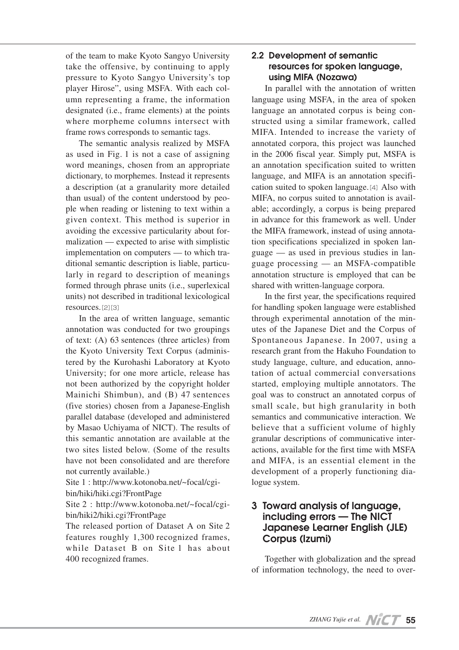of the team to make Kyoto Sangyo University take the offensive, by continuing to apply pressure to Kyoto Sangyo University's top player Hirose", using MSFA. With each column representing a frame, the information designated (i.e., frame elements) at the points where morpheme columns intersect with frame rows corresponds to semantic tags.

The semantic analysis realized by MSFA as used in Fig. 1 is not a case of assigning word meanings, chosen from an appropriate dictionary, to morphemes. Instead it represents a description (at a granularity more detailed than usual) of the content understood by people when reading or listening to text within a given context. This method is superior in avoiding the excessive particularity about formalization — expected to arise with simplistic implementation on computers — to which traditional semantic description is liable, particularly in regard to description of meanings formed through phrase units (i.e., superlexical units) not described in traditional lexicological resources.[2][3]

In the area of written language, semantic annotation was conducted for two groupings of text: (A) 63 sentences (three articles) from the Kyoto University Text Corpus (administered by the Kurohashi Laboratory at Kyoto University; for one more article, release has not been authorized by the copyright holder Mainichi Shimbun), and (B) 47 sentences (five stories) chosen from a Japanese-English parallel database (developed and administered by Masao Uchiyama of NICT). The results of this semantic annotation are available at the two sites listed below. (Some of the results have not been consolidated and are therefore not currently available.)

Site 1 : http://www.kotonoba.net/~focal/cgibin/hiki/hiki.cgi?FrontPage

Site 2 : http://www.kotonoba.net/~focal/cgibin/hiki2/hiki.cgi?FrontPage

The released portion of Dataset A on Site 2 features roughly 1,300 recognized frames, while Dataset B on Site 1 has about 400 recognized frames.

## **2.2 Development of semantic resources for spoken language, using MIFA (Nozawa)**

In parallel with the annotation of written language using MSFA, in the area of spoken language an annotated corpus is being constructed using a similar framework, called MIFA. Intended to increase the variety of annotated corpora, this project was launched in the 2006 fiscal year. Simply put, MSFA is an annotation specification suited to written language, and MIFA is an annotation specification suited to spoken language.[4]Also with MIFA, no corpus suited to annotation is available; accordingly, a corpus is being prepared in advance for this framework as well. Under the MIFA framework, instead of using annotation specifications specialized in spoken language — as used in previous studies in language processing — an MSFA-compatible annotation structure is employed that can be shared with written-language corpora.

In the first year, the specifications required for handling spoken language were established through experimental annotation of the minutes of the Japanese Diet and the Corpus of Spontaneous Japanese. In 2007, using a research grant from the Hakuho Foundation to study language, culture, and education, annotation of actual commercial conversations started, employing multiple annotators. The goal was to construct an annotated corpus of small scale, but high granularity in both semantics and communicative interaction. We believe that a sufficient volume of highly granular descriptions of communicative interactions, available for the first time with MSFA and MIFA, is an essential element in the development of a properly functioning dialogue system.

# **3 Toward analysis of language, including errors — The NICT Japanese Learner English (JLE) Corpus (Izumi)**

Together with globalization and the spread of information technology, the need to over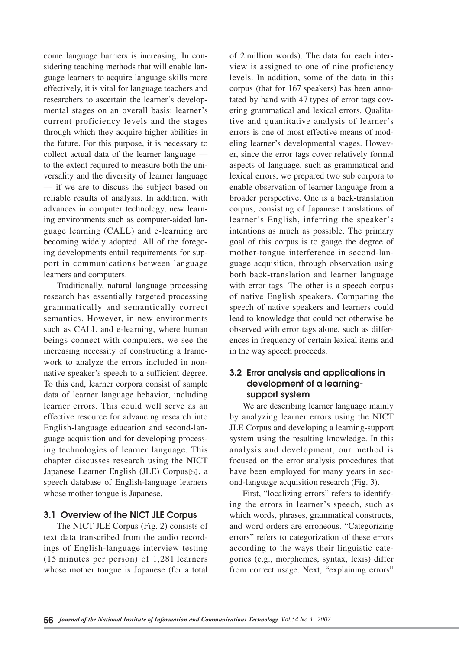come language barriers is increasing. In considering teaching methods that will enable language learners to acquire language skills more effectively, it is vital for language teachers and researchers to ascertain the learner's developmental stages on an overall basis: learner's current proficiency levels and the stages through which they acquire higher abilities in the future. For this purpose, it is necessary to collect actual data of the learner language to the extent required to measure both the universality and the diversity of learner language — if we are to discuss the subject based on reliable results of analysis. In addition, with advances in computer technology, new learning environments such as computer-aided language learning (CALL) and e-learning are becoming widely adopted. All of the foregoing developments entail requirements for support in communications between language learners and computers.

Traditionally, natural language processing research has essentially targeted processing grammatically and semantically correct semantics. However, in new environments such as CALL and e-learning, where human beings connect with computers, we see the increasing necessity of constructing a framework to analyze the errors included in nonnative speaker's speech to a sufficient degree. To this end, learner corpora consist of sample data of learner language behavior, including learner errors. This could well serve as an effective resource for advancing research into English-language education and second-language acquisition and for developing processing technologies of learner language. This chapter discusses research using the NICT Japanese Learner English (JLE) Corpus[5], a speech database of English-language learners whose mother tongue is Japanese.

#### **3.1 Overview of the NICT JLE Corpus**

The NICT JLE Corpus (Fig. 2) consists of text data transcribed from the audio recordings of English-language interview testing  $(15 \text{ minutes per person})$  of 1,281 learners whose mother tongue is Japanese (for a total

of 2 million words). The data for each interview is assigned to one of nine proficiency levels. In addition, some of the data in this corpus (that for 167 speakers) has been annotated by hand with 47 types of error tags covering grammatical and lexical errors. Qualitative and quantitative analysis of learner's errors is one of most effective means of modeling learner's developmental stages. However, since the error tags cover relatively formal aspects of language, such as grammatical and lexical errors, we prepared two sub corpora to enable observation of learner language from a broader perspective. One is a back-translation corpus, consisting of Japanese translations of learner's English, inferring the speaker's intentions as much as possible. The primary goal of this corpus is to gauge the degree of mother-tongue interference in second-language acquisition, through observation using both back-translation and learner language with error tags. The other is a speech corpus of native English speakers. Comparing the speech of native speakers and learners could lead to knowledge that could not otherwise be observed with error tags alone, such as differences in frequency of certain lexical items and in the way speech proceeds.

#### **3.2 Error analysis and applications in development of a learningsupport system**

We are describing learner language mainly by analyzing learner errors using the NICT JLE Corpus and developing a learning-support system using the resulting knowledge. In this analysis and development, our method is focused on the error analysis procedures that have been employed for many years in second-language acquisition research (Fig. 3).

First, "localizing errors" refers to identifying the errors in learner's speech, such as which words, phrases, grammatical constructs, and word orders are erroneous. "Categorizing errors" refers to categorization of these errors according to the ways their linguistic categories (e.g., morphemes, syntax, lexis) differ from correct usage. Next, "explaining errors"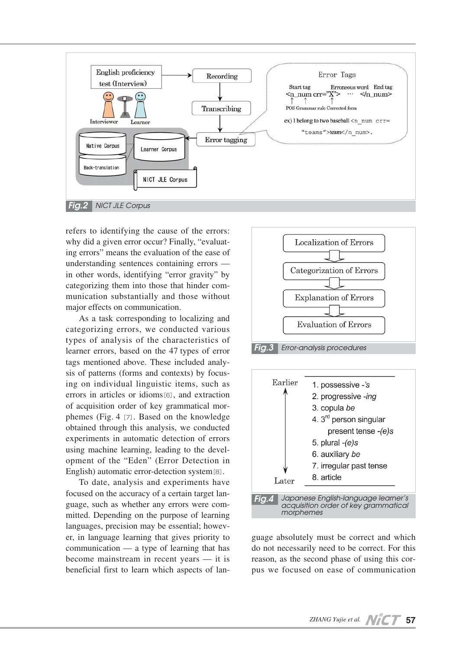

refers to identifying the cause of the errors: why did a given error occur? Finally, "evaluating errors" means the evaluation of the ease of understanding sentences containing errors in other words, identifying "error gravity" by categorizing them into those that hinder communication substantially and those without major effects on communication.

As a task corresponding to localizing and categorizing errors, we conducted various types of analysis of the characteristics of learner errors, based on the 47 types of error tags mentioned above. These included analysis of patterns (forms and contexts) by focusing on individual linguistic items, such as errors in articles or idioms[6], and extraction of acquisition order of key grammatical morphemes (Fig. 4 [7]. Based on the knowledge obtained through this analysis, we conducted experiments in automatic detection of errors using machine learning, leading to the development of the "Eden" (Error Detection in English) automatic error-detection system[8].

To date, analysis and experiments have focused on the accuracy of a certain target language, such as whether any errors were committed. Depending on the purpose of learning languages, precision may be essential; however, in language learning that gives priority to communication — a type of learning that has become mainstream in recent years — it is beneficial first to learn which aspects of lan-





guage absolutely must be correct and which do not necessarily need to be correct. For this reason, as the second phase of using this corpus we focused on ease of communication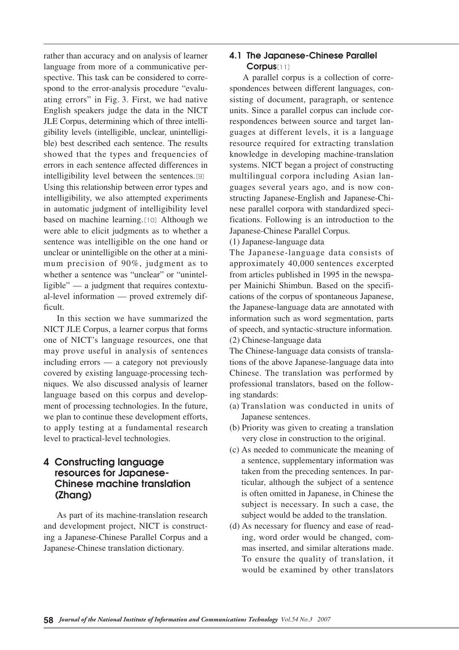rather than accuracy and on analysis of learner language from more of a communicative perspective. This task can be considered to correspond to the error-analysis procedure "evaluating errors" in Fig. 3. First, we had native English speakers judge the data in the NICT JLE Corpus, determining which of three intelligibility levels (intelligible, unclear, unintelligible) best described each sentence. The results showed that the types and frequencies of errors in each sentence affected differences in intelligibility level between the sentences.[9] Using this relationship between error types and intelligibility, we also attempted experiments in automatic judgment of intelligibility level based on machine learning.[10] Although we were able to elicit judgments as to whether a sentence was intelligible on the one hand or unclear or unintelligible on the other at a minimum precision of 90%, judgment as to whether a sentence was "unclear" or "unintelligible" — a judgment that requires contextual-level information — proved extremely difficult.

In this section we have summarized the NICT JLE Corpus, a learner corpus that forms one of NICT's language resources, one that may prove useful in analysis of sentences including errors — a category not previously covered by existing language-processing techniques. We also discussed analysis of learner language based on this corpus and development of processing technologies. In the future, we plan to continue these development efforts, to apply testing at a fundamental research level to practical-level technologies.

# **4 Constructing language resources for Japanese-Chinese machine translation (Zhang)**

As part of its machine-translation research and development project, NICT is constructing a Japanese-Chinese Parallel Corpus and a Japanese-Chinese translation dictionary.

# **4.1 The Japanese-Chinese Parallel Corpus**[11]

A parallel corpus is a collection of correspondences between different languages, consisting of document, paragraph, or sentence units. Since a parallel corpus can include correspondences between source and target languages at different levels, it is a language resource required for extracting translation knowledge in developing machine-translation systems. NICT began a project of constructing multilingual corpora including Asian languages several years ago, and is now constructing Japanese-English and Japanese-Chinese parallel corpora with standardized specifications. Following is an introduction to the Japanese-Chinese Parallel Corpus.

(1) Japanese-language data

The Japanese-language data consists of approximately 40,000 sentences excerpted from articles published in 1995 in the newspaper Mainichi Shimbun. Based on the specifications of the corpus of spontaneous Japanese, the Japanese-language data are annotated with information such as word segmentation, parts of speech, and syntactic-structure information.

(2) Chinese-language data

The Chinese-language data consists of translations of the above Japanese-language data into Chinese. The translation was performed by professional translators, based on the following standards:

- (a) Translation was conducted in units of Japanese sentences.
- (b) Priority was given to creating a translation very close in construction to the original.
- (c) As needed to communicate the meaning of a sentence, supplementary information was taken from the preceding sentences. In particular, although the subject of a sentence is often omitted in Japanese, in Chinese the subject is necessary. In such a case, the subject would be added to the translation.
- (d) As necessary for fluency and ease of reading, word order would be changed, commas inserted, and similar alterations made. To ensure the quality of translation, it would be examined by other translators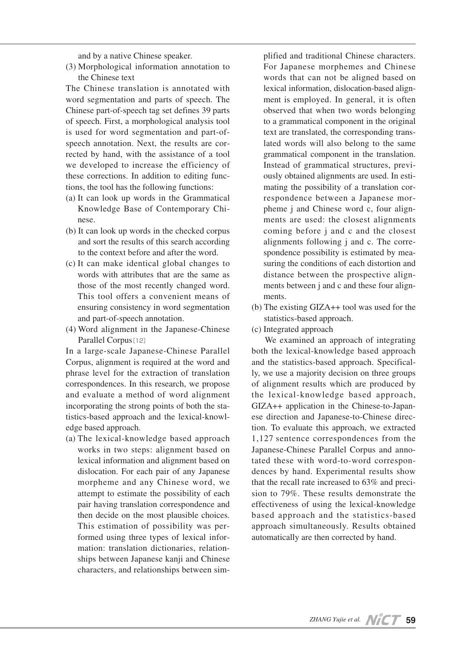and by a native Chinese speaker.

(3) Morphological information annotation to the Chinese text

The Chinese translation is annotated with word segmentation and parts of speech. The Chinese part-of-speech tag set defines 39 parts of speech. First, a morphological analysis tool is used for word segmentation and part-ofspeech annotation. Next, the results are corrected by hand, with the assistance of a tool we developed to increase the efficiency of these corrections. In addition to editing functions, the tool has the following functions:

- (a) It can look up words in the Grammatical Knowledge Base of Contemporary Chinese.
- (b) It can look up words in the checked corpus and sort the results of this search according to the context before and after the word.
- (c) It can make identical global changes to words with attributes that are the same as those of the most recently changed word. This tool offers a convenient means of ensuring consistency in word segmentation and part-of-speech annotation.
- (4) Word alignment in the Japanese-Chinese Parallel Corpus<sup>[12]</sup>

In a large-scale Japanese-Chinese Parallel Corpus, alignment is required at the word and phrase level for the extraction of translation correspondences. In this research, we propose and evaluate a method of word alignment incorporating the strong points of both the statistics-based approach and the lexical-knowledge based approach.

(a) The lexical-knowledge based approach works in two steps: alignment based on lexical information and alignment based on dislocation. For each pair of any Japanese morpheme and any Chinese word, we attempt to estimate the possibility of each pair having translation correspondence and then decide on the most plausible choices. This estimation of possibility was performed using three types of lexical information: translation dictionaries, relationships between Japanese kanji and Chinese characters, and relationships between simplified and traditional Chinese characters. For Japanese morphemes and Chinese words that can not be aligned based on lexical information, dislocation-based alignment is employed. In general, it is often observed that when two words belonging to a grammatical component in the original text are translated, the corresponding translated words will also belong to the same grammatical component in the translation. Instead of grammatical structures, previously obtained alignments are used. In estimating the possibility of a translation correspondence between a Japanese morpheme j and Chinese word c, four alignments are used: the closest alignments coming before j and c and the closest alignments following j and c. The correspondence possibility is estimated by measuring the conditions of each distortion and distance between the prospective alignments between j and c and these four alignments.

- (b) The existing GIZA++ tool was used for the statistics-based approach.
- (c) Integrated approach

We examined an approach of integrating both the lexical-knowledge based approach and the statistics-based approach. Specifically, we use a majority decision on three groups of alignment results which are produced by the lexical-knowledge based approach, GIZA++ application in the Chinese-to-Japanese direction and Japanese-to-Chinese direction. To evaluate this approach, we extracted 1,127 sentence correspondences from the Japanese-Chinese Parallel Corpus and annotated these with word-to-word correspondences by hand. Experimental results show that the recall rate increased to 63% and precision to 79%. These results demonstrate the effectiveness of using the lexical-knowledge based approach and the statistics-based approach simultaneously. Results obtained automatically are then corrected by hand.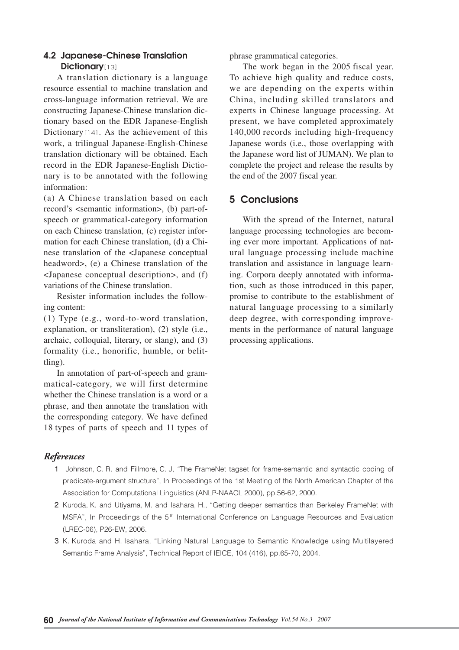## **4.2 Japanese-Chinese Translation Dictionary**[13]

A translation dictionary is a language resource essential to machine translation and cross-language information retrieval. We are constructing Japanese-Chinese translation dictionary based on the EDR Japanese-English Dictionary $[14]$ . As the achievement of this work, a trilingual Japanese-English-Chinese translation dictionary will be obtained. Each record in the EDR Japanese-English Dictionary is to be annotated with the following information:

(a) A Chinese translation based on each record's <semantic information>, (b) part-ofspeech or grammatical-category information on each Chinese translation, (c) register information for each Chinese translation, (d) a Chinese translation of the <Japanese conceptual headword>, (e) a Chinese translation of the <Japanese conceptual description>, and (f) variations of the Chinese translation.

Resister information includes the following content:

(1) Type (e.g., word-to-word translation, explanation, or transliteration), (2) style (i.e., archaic, colloquial, literary, or slang), and (3) formality (i.e., honorific, humble, or belittling).

In annotation of part-of-speech and grammatical-category, we will first determine whether the Chinese translation is a word or a phrase, and then annotate the translation with the corresponding category. We have defined 18 types of parts of speech and 11 types of

phrase grammatical categories.

The work began in the 2005 fiscal year. To achieve high quality and reduce costs, we are depending on the experts within China, including skilled translators and experts in Chinese language processing. At present, we have completed approximately 140,000 records including high-frequency Japanese words (i.e., those overlapping with the Japanese word list of JUMAN). We plan to complete the project and release the results by the end of the 2007 fiscal year.

# **5 Conclusions**

With the spread of the Internet, natural language processing technologies are becoming ever more important. Applications of natural language processing include machine translation and assistance in language learning. Corpora deeply annotated with information, such as those introduced in this paper, promise to contribute to the establishment of natural language processing to a similarly deep degree, with corresponding improvements in the performance of natural language processing applications.

## *References*

- 1 Johnson, C. R. and Fillmore, C. J. "The FrameNet tagset for frame-semantic and syntactic coding of predicate-argument structure", In Proceedings of the 1st Meeting of the North American Chapter of the Association for Computational Linguistics (ANLP-NAACL 2000), pp.56-62, 2000.
- 2 Kuroda, K. and Utiyama, M. and Isahara, H., "Getting deeper semantics than Berkeley FrameNet with MSFA", In Proceedings of the  $5<sup>th</sup>$  International Conference on Language Resources and Evaluation (LREC-06), P26-EW, 2006.
- 03 K. Kuroda and H. Isahara, "Linking Natural Language to Semantic Knowledge using Multilayered Semantic Frame Analysis", Technical Report of IEICE, 104 (416), pp.65-70, 2004.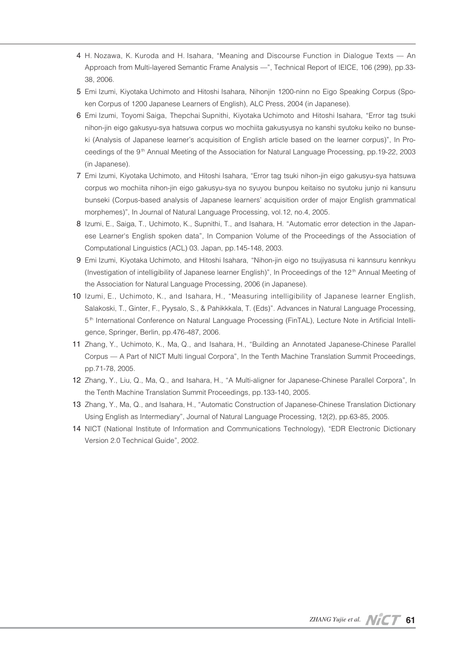- 4 H. Nozawa, K. Kuroda and H. Isahara, "Meaning and Discourse Function in Dialogue Texts An Approach from Multi-layered Semantic Frame Analysis —", Technical Report of IEICE, 106 (299), pp.33- 38, 2006.
- 5 Emi Izumi, Kiyotaka Uchimoto and Hitoshi Isahara, Nihonjin 1200-ninn no Eigo Speaking Corpus (Spoken Corpus of 1200 Japanese Learners of English), ALC Press, 2004 (in Japanese).
- 06 Emi Izumi, Toyomi Saiga, Thepchai Supnithi, Kiyotaka Uchimoto and Hitoshi Isahara, "Error tag tsuki nihon-jin eigo gakusyu-sya hatsuwa corpus wo mochiita gakusyusya no kanshi syutoku keiko no bunseki (Analysis of Japanese learner's acquisition of English article based on the learner corpus)", In Proceedings of the 9<sup>th</sup> Annual Meeting of the Association for Natural Language Processing, pp.19-22, 2003 (in Japanese).
- 07 Emi Izumi, Kiyotaka Uchimoto, and Hitoshi Isahara, "Error tag tsuki nihon-jin eigo gakusyu-sya hatsuwa corpus wo mochiita nihon-jin eigo gakusyu-sya no syuyou bunpou keitaiso no syutoku junjo ni kansuru bunseki (Corpus-based analysis of Japanese learners' acquisition order of major English grammatical morphemes)", In Journal of Natural Language Processing, vol.12, no.4, 2005.
- 08 Izumi, E., Saiga, T., Uchimoto, K., Supnithi, T., and Isahara, H. "Automatic error detection in the Japanese Learner's English spoken data", In Companion Volume of the Proceedings of the Association of Computational Linguistics (ACL) 03. Japan, pp.145-148, 2003.
- 09 Emi Izumi, Kiyotaka Uchimoto, and Hitoshi Isahara, "Nihon-jin eigo no tsujiyasusa ni kannsuru kennkyu (Investigation of intelligibility of Japanese learner English)", In Proceedings of the 12<sup>th</sup> Annual Meeting of the Association for Natural Language Processing, 2006 (in Japanese).
- 10 Izumi, E., Uchimoto, K., and Isahara, H., "Measuring intelligibility of Japanese learner English, Salakoski, T., Ginter, F., Pyysalo, S., & Pahikkkala, T. (Eds)". Advances in Natural Language Processing, 5 th International Conference on Natural Language Processing (FinTAL), Lecture Note in Artificial Intelligence, Springer, Berlin, pp.476-487, 2006.
- 11 Zhang, Y., Uchimoto, K., Ma, Q., and Isahara, H., "Building an Annotated Japanese-Chinese Parallel Corpus — A Part of NICT Multi lingual Corpora", In the Tenth Machine Translation Summit Proceedings, pp.71-78, 2005.
- 12 Zhang, Y., Liu, Q., Ma, Q., and Isahara, H., "A Multi-aligner for Japanese-Chinese Parallel Corpora", In the Tenth Machine Translation Summit Proceedings, pp.133-140, 2005.
- 13 Zhang, Y., Ma, Q., and Isahara, H., "Automatic Construction of Japanese-Chinese Translation Dictionary Using English as Intermediary", Journal of Natural Language Processing, 12(2), pp.63-85, 2005.
- 14 NICT (National Institute of Information and Communications Technology), "EDR Electronic Dictionary Version 2.0 Technical Guide", 2002.